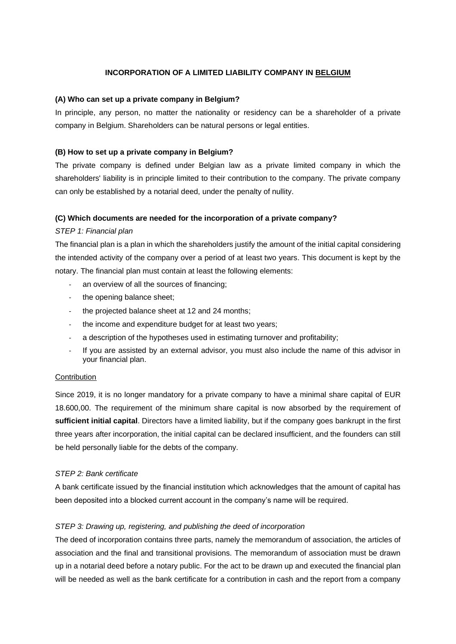## **INCORPORATION OF A LIMITED LIABILITY COMPANY IN BELGIUM**

## **(A) Who can set up a private company in Belgium?**

In principle, any person, no matter the nationality or residency can be a shareholder of a private company in Belgium. Shareholders can be natural persons or legal entities.

## **(B) How to set up a private company in Belgium?**

The private company is defined under Belgian law as a private limited company in which the shareholders' liability is in principle limited to their contribution to the company. The private company can only be established by a notarial deed, under the penalty of nullity.

### **(C) Which documents are needed for the incorporation of a private company?**

### *STEP 1: Financial plan*

The financial plan is a plan in which the shareholders justify the amount of the initial capital considering the intended activity of the company over a period of at least two years. This document is kept by the notary. The financial plan must contain at least the following elements:

- an overview of all the sources of financing:
- the opening balance sheet;
- the projected balance sheet at 12 and 24 months;
- the income and expenditure budget for at least two years;
- a description of the hypotheses used in estimating turnover and profitability;
- If you are assisted by an external advisor, you must also include the name of this advisor in your financial plan.

#### **Contribution**

Since 2019, it is no longer mandatory for a private company to have a minimal share capital of EUR 18.600,00. The requirement of the minimum share capital is now absorbed by the requirement of **sufficient initial capital**. Directors have a limited liability, but if the company goes bankrupt in the first three years after incorporation, the initial capital can be declared insufficient, and the founders can still be held personally liable for the debts of the company.

#### *STEP 2: Bank certificate*

A bank certificate issued by the financial institution which acknowledges that the amount of capital has been deposited into a blocked current account in the company's name will be required.

## *STEP 3: Drawing up, registering, and publishing the deed of incorporation*

The deed of incorporation contains three parts, namely the memorandum of association, the articles of association and the final and transitional provisions. The memorandum of association must be drawn up in a notarial deed before a notary public. For the act to be drawn up and executed the financial plan will be needed as well as the bank certificate for a contribution in cash and the report from a company